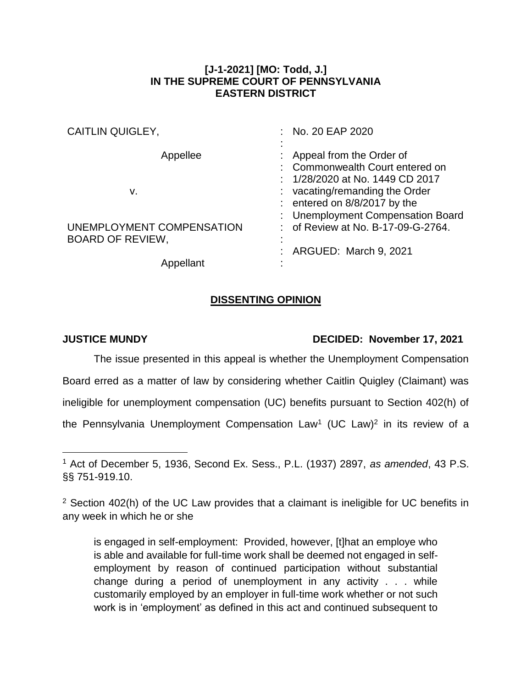## **[J-1-2021] [MO: Todd, J.] IN THE SUPREME COURT OF PENNSYLVANIA EASTERN DISTRICT**

| <b>CAITLIN QUIGLEY,</b>   | : No. 20 EAP 2020                  |
|---------------------------|------------------------------------|
|                           |                                    |
| Appellee                  | Appeal from the Order of           |
|                           | Commonwealth Court entered on      |
|                           | : 1/28/2020 at No. 1449 CD 2017    |
| v.                        | : vacating/remanding the Order     |
|                           | : entered on $8/8/2017$ by the     |
|                           | : Unemployment Compensation Board  |
| UNEMPLOYMENT COMPENSATION | : of Review at No. B-17-09-G-2764. |
| <b>BOARD OF REVIEW,</b>   |                                    |
|                           | : ARGUED: March 9, 2021            |
| Appellant                 |                                    |

## **DISSENTING OPINION**

 $\overline{a}$ 

## **JUSTICE MUNDY DECIDED: November 17, 2021**

The issue presented in this appeal is whether the Unemployment Compensation Board erred as a matter of law by considering whether Caitlin Quigley (Claimant) was ineligible for unemployment compensation (UC) benefits pursuant to Section 402(h) of the Pennsylvania Unemployment Compensation  $Law<sup>1</sup>$  (UC Law)<sup>2</sup> in its review of a

is engaged in self-employment: Provided, however, [t]hat an employe who is able and available for full-time work shall be deemed not engaged in selfemployment by reason of continued participation without substantial change during a period of unemployment in any activity . . . while customarily employed by an employer in full-time work whether or not such work is in 'employment' as defined in this act and continued subsequent to

<sup>1</sup> Act of December 5, 1936, Second Ex. Sess., P.L. (1937) 2897, *as amended*, 43 P.S. §§ 751-919.10.

<sup>&</sup>lt;sup>2</sup> Section 402(h) of the UC Law provides that a claimant is ineligible for UC benefits in any week in which he or she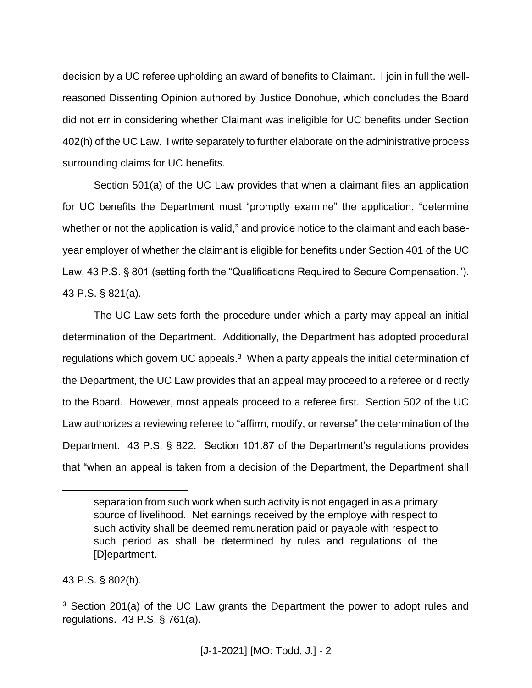decision by a UC referee upholding an award of benefits to Claimant. I join in full the wellreasoned Dissenting Opinion authored by Justice Donohue, which concludes the Board did not err in considering whether Claimant was ineligible for UC benefits under Section 402(h) of the UC Law. I write separately to further elaborate on the administrative process surrounding claims for UC benefits.

Section 501(a) of the UC Law provides that when a claimant files an application for UC benefits the Department must "promptly examine" the application, "determine whether or not the application is valid," and provide notice to the claimant and each baseyear employer of whether the claimant is eligible for benefits under Section 401 of the UC Law, 43 P.S. § 801 (setting forth the "Qualifications Required to Secure Compensation."). 43 P.S. § 821(a).

The UC Law sets forth the procedure under which a party may appeal an initial determination of the Department. Additionally, the Department has adopted procedural regulations which govern UC appeals.<sup>3</sup> When a party appeals the initial determination of the Department, the UC Law provides that an appeal may proceed to a referee or directly to the Board. However, most appeals proceed to a referee first. Section 502 of the UC Law authorizes a reviewing referee to "affirm, modify, or reverse" the determination of the Department. 43 P.S. § 822. Section 101.87 of the Department's regulations provides that "when an appeal is taken from a decision of the Department, the Department shall

43 P.S. § 802(h).

 $\overline{a}$ 

separation from such work when such activity is not engaged in as a primary source of livelihood. Net earnings received by the employe with respect to such activity shall be deemed remuneration paid or payable with respect to such period as shall be determined by rules and regulations of the [D]epartment.

<sup>&</sup>lt;sup>3</sup> Section 201(a) of the UC Law grants the Department the power to adopt rules and regulations. 43 P.S. § 761(a).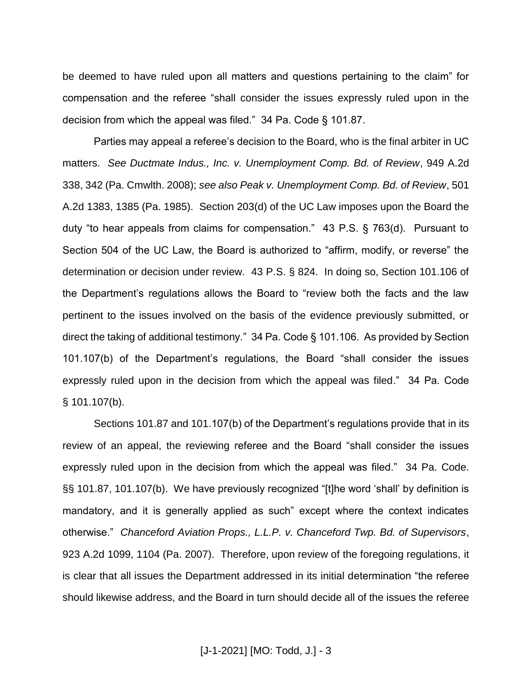be deemed to have ruled upon all matters and questions pertaining to the claim" for compensation and the referee "shall consider the issues expressly ruled upon in the decision from which the appeal was filed." 34 Pa. Code § 101.87.

Parties may appeal a referee's decision to the Board, who is the final arbiter in UC matters. *See Ductmate Indus., Inc. v. Unemployment Comp. Bd. of Review*, 949 A.2d 338, 342 (Pa. Cmwlth. 2008); *see also Peak v. Unemployment Comp. Bd. of Review*, 501 A.2d 1383, 1385 (Pa. 1985). Section 203(d) of the UC Law imposes upon the Board the duty "to hear appeals from claims for compensation." 43 P.S. § 763(d). Pursuant to Section 504 of the UC Law, the Board is authorized to "affirm, modify, or reverse" the determination or decision under review. 43 P.S. § 824. In doing so, Section 101.106 of the Department's regulations allows the Board to "review both the facts and the law pertinent to the issues involved on the basis of the evidence previously submitted, or direct the taking of additional testimony." 34 Pa. Code § 101.106. As provided by Section 101.107(b) of the Department's regulations, the Board "shall consider the issues expressly ruled upon in the decision from which the appeal was filed." 34 Pa. Code § 101.107(b).

Sections 101.87 and 101.107(b) of the Department's regulations provide that in its review of an appeal, the reviewing referee and the Board "shall consider the issues expressly ruled upon in the decision from which the appeal was filed." 34 Pa. Code. §§ 101.87, 101.107(b). We have previously recognized "[t]he word 'shall' by definition is mandatory, and it is generally applied as such" except where the context indicates otherwise." *Chanceford Aviation Props., L.L.P. v. Chanceford Twp. Bd. of Supervisors*, 923 A.2d 1099, 1104 (Pa. 2007). Therefore, upon review of the foregoing regulations, it is clear that all issues the Department addressed in its initial determination "the referee should likewise address, and the Board in turn should decide all of the issues the referee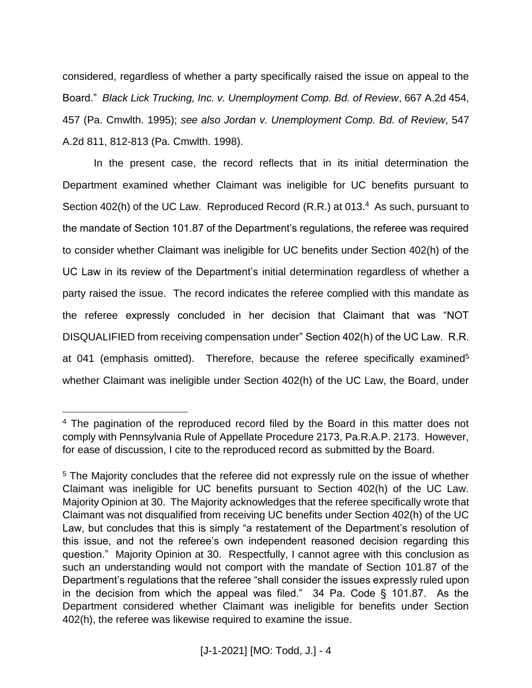considered, regardless of whether a party specifically raised the issue on appeal to the Board." *Black Lick Trucking, Inc. v. Unemployment Comp. Bd. of Review*, 667 A.2d 454, 457 (Pa. Cmwlth. 1995); *see also Jordan v. Unemployment Comp. Bd. of Review*, 547 A.2d 811, 812-813 (Pa. Cmwlth. 1998).

In the present case, the record reflects that in its initial determination the Department examined whether Claimant was ineligible for UC benefits pursuant to Section 402(h) of the UC Law. Reproduced Record (R.R.) at 013.<sup>4</sup> As such, pursuant to the mandate of Section 101.87 of the Department's regulations, the referee was required to consider whether Claimant was ineligible for UC benefits under Section 402(h) of the UC Law in its review of the Department's initial determination regardless of whether a party raised the issue. The record indicates the referee complied with this mandate as the referee expressly concluded in her decision that Claimant that was "NOT DISQUALIFIED from receiving compensation under" Section 402(h) of the UC Law. R.R. at 041 (emphasis omitted). Therefore, because the referee specifically examined<sup>5</sup> whether Claimant was ineligible under Section 402(h) of the UC Law, the Board, under

 $\overline{a}$ 

<sup>4</sup> The pagination of the reproduced record filed by the Board in this matter does not comply with Pennsylvania Rule of Appellate Procedure 2173, Pa.R.A.P. 2173. However, for ease of discussion, I cite to the reproduced record as submitted by the Board.

<sup>&</sup>lt;sup>5</sup> The Majority concludes that the referee did not expressly rule on the issue of whether Claimant was ineligible for UC benefits pursuant to Section 402(h) of the UC Law. Majority Opinion at 30. The Majority acknowledges that the referee specifically wrote that Claimant was not disqualified from receiving UC benefits under Section 402(h) of the UC Law, but concludes that this is simply "a restatement of the Department's resolution of this issue, and not the referee's own independent reasoned decision regarding this question." Majority Opinion at 30. Respectfully, I cannot agree with this conclusion as such an understanding would not comport with the mandate of Section 101.87 of the Department's regulations that the referee "shall consider the issues expressly ruled upon in the decision from which the appeal was filed." 34 Pa. Code § 101.87. As the Department considered whether Claimant was ineligible for benefits under Section 402(h), the referee was likewise required to examine the issue.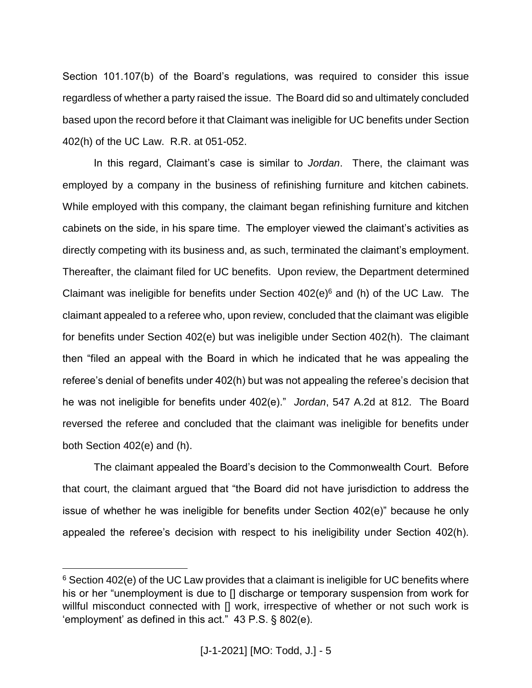Section 101.107(b) of the Board's regulations, was required to consider this issue regardless of whether a party raised the issue. The Board did so and ultimately concluded based upon the record before it that Claimant was ineligible for UC benefits under Section 402(h) of the UC Law. R.R. at 051-052.

In this regard, Claimant's case is similar to *Jordan*. There, the claimant was employed by a company in the business of refinishing furniture and kitchen cabinets. While employed with this company, the claimant began refinishing furniture and kitchen cabinets on the side, in his spare time. The employer viewed the claimant's activities as directly competing with its business and, as such, terminated the claimant's employment. Thereafter, the claimant filed for UC benefits. Upon review, the Department determined Claimant was ineligible for benefits under Section  $402(e)^6$  and (h) of the UC Law. The claimant appealed to a referee who, upon review, concluded that the claimant was eligible for benefits under Section 402(e) but was ineligible under Section 402(h). The claimant then "filed an appeal with the Board in which he indicated that he was appealing the referee's denial of benefits under 402(h) but was not appealing the referee's decision that he was not ineligible for benefits under 402(e)." *Jordan*, 547 A.2d at 812. The Board reversed the referee and concluded that the claimant was ineligible for benefits under both Section 402(e) and (h).

The claimant appealed the Board's decision to the Commonwealth Court. Before that court, the claimant argued that "the Board did not have jurisdiction to address the issue of whether he was ineligible for benefits under Section 402(e)" because he only appealed the referee's decision with respect to his ineligibility under Section 402(h).

 $\overline{a}$ 

 $6$  Section 402(e) of the UC Law provides that a claimant is ineligible for UC benefits where his or her "unemployment is due to [] discharge or temporary suspension from work for willful misconduct connected with [] work, irrespective of whether or not such work is 'employment' as defined in this act." 43 P.S. § 802(e).